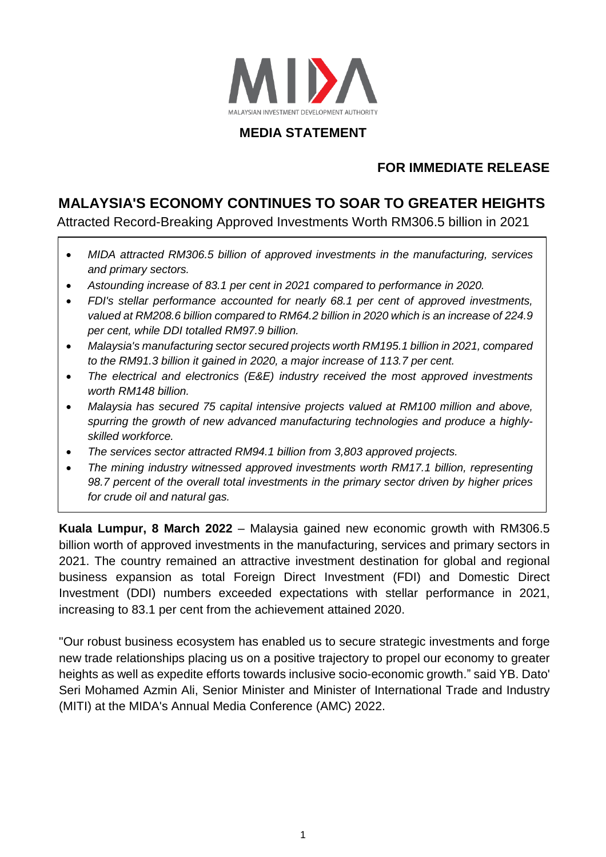

# **MEDIA STATEMENT**

# **FOR IMMEDIATE RELEASE**

# **MALAYSIA'S ECONOMY CONTINUES TO SOAR TO GREATER HEIGHTS**

Attracted Record-Breaking Approved Investments Worth RM306.5 billion in 2021

- *MIDA attracted RM306.5 billion of approved investments in the manufacturing, services and primary sectors.*
- *Astounding increase of 83.1 per cent in 2021 compared to performance in 2020.*
- *FDI's stellar performance accounted for nearly 68.1 per cent of approved investments, valued at RM208.6 billion compared to RM64.2 billion in 2020 which is an increase of 224.9 per cent, while DDI totalled RM97.9 billion.*
- *Malaysia's manufacturing sector secured projects worth RM195.1 billion in 2021, compared to the RM91.3 billion it gained in 2020, a major increase of 113.7 per cent.*
- *The electrical and electronics (E&E) industry received the most approved investments worth RM148 billion.*
- *Malaysia has secured 75 capital intensive projects valued at RM100 million and above, spurring the growth of new advanced manufacturing technologies and produce a highlyskilled workforce.*
- *The services sector attracted RM94.1 billion from 3,803 approved projects.*
- *The mining industry witnessed approved investments worth RM17.1 billion, representing 98.7 percent of the overall total investments in the primary sector driven by higher prices for crude oil and natural gas.*

**Kuala Lumpur, 8 March 2022** – Malaysia gained new economic growth with RM306.5 billion worth of approved investments in the manufacturing, services and primary sectors in 2021. The country remained an attractive investment destination for global and regional business expansion as total Foreign Direct Investment (FDI) and Domestic Direct Investment (DDI) numbers exceeded expectations with stellar performance in 2021, increasing to 83.1 per cent from the achievement attained 2020.

"Our robust business ecosystem has enabled us to secure strategic investments and forge new trade relationships placing us on a positive trajectory to propel our economy to greater heights as well as expedite efforts towards inclusive socio-economic growth." said YB. Dato' Seri Mohamed Azmin Ali, Senior Minister and Minister of International Trade and Industry (MITI) at the MIDA's Annual Media Conference (AMC) 2022.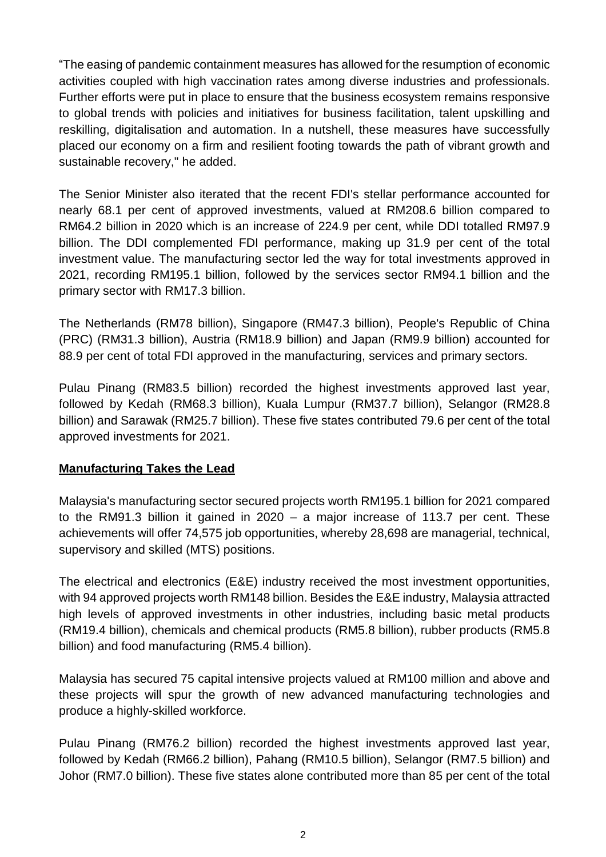"The easing of pandemic containment measures has allowed for the resumption of economic activities coupled with high vaccination rates among diverse industries and professionals. Further efforts were put in place to ensure that the business ecosystem remains responsive to global trends with policies and initiatives for business facilitation, talent upskilling and reskilling, digitalisation and automation. In a nutshell, these measures have successfully placed our economy on a firm and resilient footing towards the path of vibrant growth and sustainable recovery," he added.

The Senior Minister also iterated that the recent FDI's stellar performance accounted for nearly 68.1 per cent of approved investments, valued at RM208.6 billion compared to RM64.2 billion in 2020 which is an increase of 224.9 per cent, while DDI totalled RM97.9 billion. The DDI complemented FDI performance, making up 31.9 per cent of the total investment value. The manufacturing sector led the way for total investments approved in 2021, recording RM195.1 billion, followed by the services sector RM94.1 billion and the primary sector with RM17.3 billion.

The Netherlands (RM78 billion), Singapore (RM47.3 billion), People's Republic of China (PRC) (RM31.3 billion), Austria (RM18.9 billion) and Japan (RM9.9 billion) accounted for 88.9 per cent of total FDI approved in the manufacturing, services and primary sectors.

Pulau Pinang (RM83.5 billion) recorded the highest investments approved last year, followed by Kedah (RM68.3 billion), Kuala Lumpur (RM37.7 billion), Selangor (RM28.8 billion) and Sarawak (RM25.7 billion). These five states contributed 79.6 per cent of the total approved investments for 2021.

#### **Manufacturing Takes the Lead**

Malaysia's manufacturing sector secured projects worth RM195.1 billion for 2021 compared to the RM91.3 billion it gained in 2020 – a major increase of 113.7 per cent. These achievements will offer 74,575 job opportunities, whereby 28,698 are managerial, technical, supervisory and skilled (MTS) positions.

The electrical and electronics (E&E) industry received the most investment opportunities, with 94 approved projects worth RM148 billion. Besides the E&E industry, Malaysia attracted high levels of approved investments in other industries, including basic metal products (RM19.4 billion), chemicals and chemical products (RM5.8 billion), rubber products (RM5.8 billion) and food manufacturing (RM5.4 billion).

Malaysia has secured 75 capital intensive projects valued at RM100 million and above and these projects will spur the growth of new advanced manufacturing technologies and produce a highly-skilled workforce.

Pulau Pinang (RM76.2 billion) recorded the highest investments approved last year, followed by Kedah (RM66.2 billion), Pahang (RM10.5 billion), Selangor (RM7.5 billion) and Johor (RM7.0 billion). These five states alone contributed more than 85 per cent of the total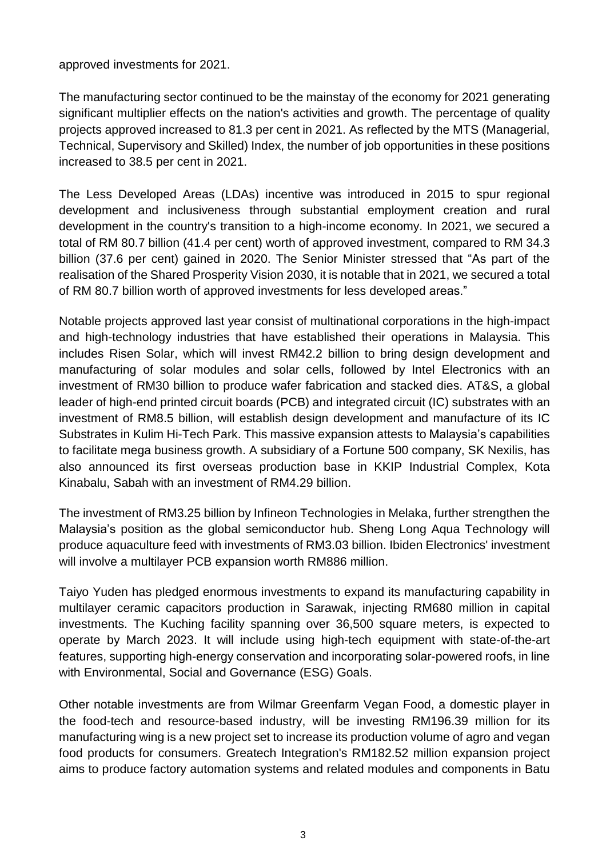approved investments for 2021.

The manufacturing sector continued to be the mainstay of the economy for 2021 generating significant multiplier effects on the nation's activities and growth. The percentage of quality projects approved increased to 81.3 per cent in 2021. As reflected by the MTS (Managerial, Technical, Supervisory and Skilled) Index, the number of job opportunities in these positions increased to 38.5 per cent in 2021.

The Less Developed Areas (LDAs) incentive was introduced in 2015 to spur regional development and inclusiveness through substantial employment creation and rural development in the country's transition to a high-income economy. In 2021, we secured a total of RM 80.7 billion (41.4 per cent) worth of approved investment, compared to RM 34.3 billion (37.6 per cent) gained in 2020. The Senior Minister stressed that "As part of the realisation of the Shared Prosperity Vision 2030, it is notable that in 2021, we secured a total of RM 80.7 billion worth of approved investments for less developed areas."

Notable projects approved last year consist of multinational corporations in the high-impact and high-technology industries that have established their operations in Malaysia. This includes Risen Solar, which will invest RM42.2 billion to bring design development and manufacturing of solar modules and solar cells, followed by Intel Electronics with an investment of RM30 billion to produce wafer fabrication and stacked dies. AT&S, a global leader of high-end printed circuit boards (PCB) and integrated circuit (IC) substrates with an investment of RM8.5 billion, will establish design development and manufacture of its IC Substrates in Kulim Hi-Tech Park. This massive expansion attests to Malaysia's capabilities to facilitate mega business growth. A subsidiary of a Fortune 500 company, SK Nexilis, has also announced its first overseas production base in KKIP Industrial Complex, Kota Kinabalu, Sabah with an investment of RM4.29 billion.

The investment of RM3.25 billion by Infineon Technologies in Melaka, further strengthen the Malaysia's position as the global semiconductor hub. Sheng Long Aqua Technology will produce aquaculture feed with investments of RM3.03 billion. Ibiden Electronics' investment will involve a multilayer PCB expansion worth RM886 million.

Taiyo Yuden has pledged enormous investments to expand its manufacturing capability in multilayer ceramic capacitors production in Sarawak, injecting RM680 million in capital investments. The Kuching facility spanning over 36,500 square meters, is expected to operate by March 2023. It will include using high-tech equipment with state-of-the-art features, supporting high-energy conservation and incorporating solar-powered roofs, in line with Environmental, Social and Governance (ESG) Goals.

Other notable investments are from Wilmar Greenfarm Vegan Food, a domestic player in the food-tech and resource-based industry, will be investing RM196.39 million for its manufacturing wing is a new project set to increase its production volume of agro and vegan food products for consumers. Greatech Integration's RM182.52 million expansion project aims to produce factory automation systems and related modules and components in Batu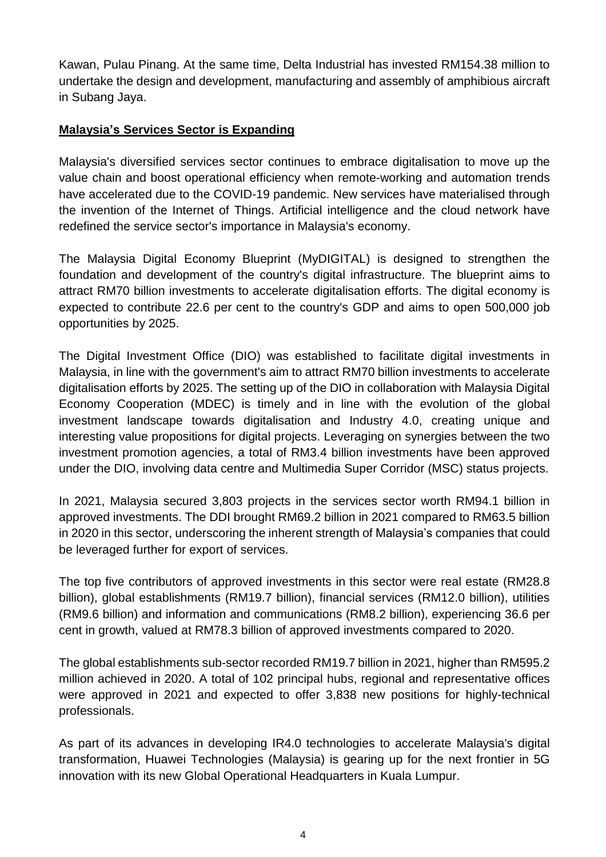Kawan, Pulau Pinang. At the same time, Delta Industrial has invested RM154.38 million to undertake the design and development, manufacturing and assembly of amphibious aircraft in Subang Jaya.

### **Malaysia's Services Sector is Expanding**

Malaysia's diversified services sector continues to embrace digitalisation to move up the value chain and boost operational efficiency when remote-working and automation trends have accelerated due to the COVID-19 pandemic. New services have materialised through the invention of the Internet of Things. Artificial intelligence and the cloud network have redefined the service sector's importance in Malaysia's economy.

The Malaysia Digital Economy Blueprint (MyDIGITAL) is designed to strengthen the foundation and development of the country's digital infrastructure. The blueprint aims to attract RM70 billion investments to accelerate digitalisation efforts. The digital economy is expected to contribute 22.6 per cent to the country's GDP and aims to open 500,000 job opportunities by 2025.

The Digital Investment Office (DIO) was established to facilitate digital investments in Malaysia, in line with the government's aim to attract RM70 billion investments to accelerate digitalisation efforts by 2025. The setting up of the DIO in collaboration with Malaysia Digital Economy Cooperation (MDEC) is timely and in line with the evolution of the global investment landscape towards digitalisation and Industry 4.0, creating unique and interesting value propositions for digital projects. Leveraging on synergies between the two investment promotion agencies, a total of RM3.4 billion investments have been approved under the DIO, involving data centre and Multimedia Super Corridor (MSC) status projects.

In 2021, Malaysia secured 3,803 projects in the services sector worth RM94.1 billion in approved investments. The DDI brought RM69.2 billion in 2021 compared to RM63.5 billion in 2020 in this sector, underscoring the inherent strength of Malaysia's companies that could be leveraged further for export of services.

The top five contributors of approved investments in this sector were real estate (RM28.8 billion), global establishments (RM19.7 billion), financial services (RM12.0 billion), utilities (RM9.6 billion) and information and communications (RM8.2 billion), experiencing 36.6 per cent in growth, valued at RM78.3 billion of approved investments compared to 2020.

The global establishments sub-sector recorded RM19.7 billion in 2021, higher than RM595.2 million achieved in 2020. A total of 102 principal hubs, regional and representative offices were approved in 2021 and expected to offer 3,838 new positions for highly-technical professionals.

As part of its advances in developing IR4.0 technologies to accelerate Malaysia's digital transformation, Huawei Technologies (Malaysia) is gearing up for the next frontier in 5G innovation with its new Global Operational Headquarters in Kuala Lumpur.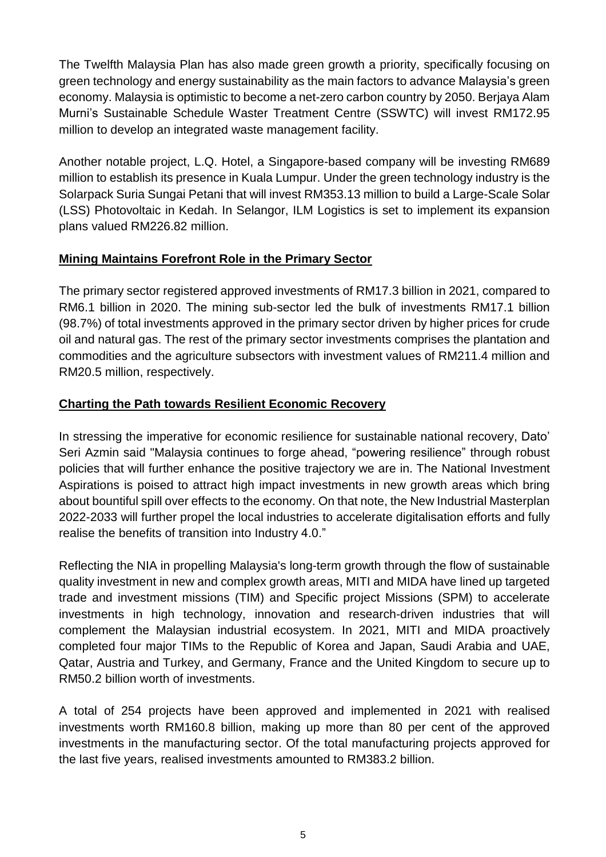The Twelfth Malaysia Plan has also made green growth a priority, specifically focusing on green technology and energy sustainability as the main factors to advance Malaysia's green economy. Malaysia is optimistic to become a net-zero carbon country by 2050. Berjaya Alam Murni's Sustainable Schedule Waster Treatment Centre (SSWTC) will invest RM172.95 million to develop an integrated waste management facility.

Another notable project, L.Q. Hotel, a Singapore-based company will be investing RM689 million to establish its presence in Kuala Lumpur. Under the green technology industry is the Solarpack Suria Sungai Petani that will invest RM353.13 million to build a Large-Scale Solar (LSS) Photovoltaic in Kedah. In Selangor, ILM Logistics is set to implement its expansion plans valued RM226.82 million.

## **Mining Maintains Forefront Role in the Primary Sector**

The primary sector registered approved investments of RM17.3 billion in 2021, compared to RM6.1 billion in 2020. The mining sub-sector led the bulk of investments RM17.1 billion (98.7%) of total investments approved in the primary sector driven by higher prices for crude oil and natural gas. The rest of the primary sector investments comprises the plantation and commodities and the agriculture subsectors with investment values of RM211.4 million and RM20.5 million, respectively.

# **Charting the Path towards Resilient Economic Recovery**

In stressing the imperative for economic resilience for sustainable national recovery, Dato' Seri Azmin said "Malaysia continues to forge ahead, "powering resilience" through robust policies that will further enhance the positive trajectory we are in. The National Investment Aspirations is poised to attract high impact investments in new growth areas which bring about bountiful spill over effects to the economy. On that note, the New Industrial Masterplan 2022-2033 will further propel the local industries to accelerate digitalisation efforts and fully realise the benefits of transition into Industry 4.0."

Reflecting the NIA in propelling Malaysia's long-term growth through the flow of sustainable quality investment in new and complex growth areas, MITI and MIDA have lined up targeted trade and investment missions (TIM) and Specific project Missions (SPM) to accelerate investments in high technology, innovation and research-driven industries that will complement the Malaysian industrial ecosystem. In 2021, MITI and MIDA proactively completed four major TIMs to the Republic of Korea and Japan, Saudi Arabia and UAE, Qatar, Austria and Turkey, and Germany, France and the United Kingdom to secure up to RM50.2 billion worth of investments.

A total of 254 projects have been approved and implemented in 2021 with realised investments worth RM160.8 billion, making up more than 80 per cent of the approved investments in the manufacturing sector. Of the total manufacturing projects approved for the last five years, realised investments amounted to RM383.2 billion.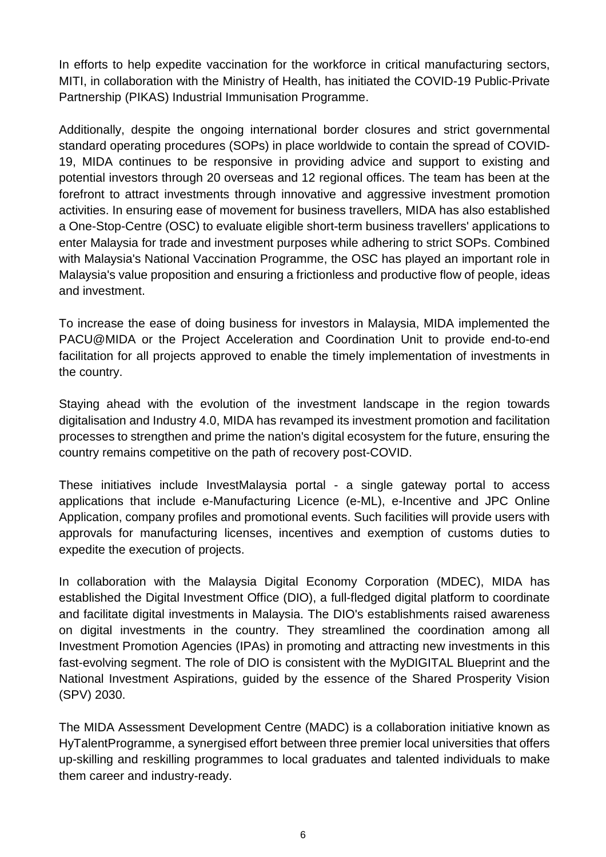In efforts to help expedite vaccination for the workforce in critical manufacturing sectors, MITI, in collaboration with the Ministry of Health, has initiated the COVID-19 Public-Private Partnership (PIKAS) Industrial Immunisation Programme.

Additionally, despite the ongoing international border closures and strict governmental standard operating procedures (SOPs) in place worldwide to contain the spread of COVID-19, MIDA continues to be responsive in providing advice and support to existing and potential investors through 20 overseas and 12 regional offices. The team has been at the forefront to attract investments through innovative and aggressive investment promotion activities. In ensuring ease of movement for business travellers, MIDA has also established a One-Stop-Centre (OSC) to evaluate eligible short-term business travellers' applications to enter Malaysia for trade and investment purposes while adhering to strict SOPs. Combined with Malaysia's National Vaccination Programme, the OSC has played an important role in Malaysia's value proposition and ensuring a frictionless and productive flow of people, ideas and investment.

To increase the ease of doing business for investors in Malaysia, MIDA implemented the PACU@MIDA or the Project Acceleration and Coordination Unit to provide end-to-end facilitation for all projects approved to enable the timely implementation of investments in the country.

Staying ahead with the evolution of the investment landscape in the region towards digitalisation and Industry 4.0, MIDA has revamped its investment promotion and facilitation processes to strengthen and prime the nation's digital ecosystem for the future, ensuring the country remains competitive on the path of recovery post-COVID.

These initiatives include InvestMalaysia portal - a single gateway portal to access applications that include e-Manufacturing Licence (e-ML), e-Incentive and JPC Online Application, company profiles and promotional events. Such facilities will provide users with approvals for manufacturing licenses, incentives and exemption of customs duties to expedite the execution of projects.

In collaboration with the Malaysia Digital Economy Corporation (MDEC), MIDA has established the Digital Investment Office (DIO), a full-fledged digital platform to coordinate and facilitate digital investments in Malaysia. The DIO's establishments raised awareness on digital investments in the country. They streamlined the coordination among all Investment Promotion Agencies (IPAs) in promoting and attracting new investments in this fast-evolving segment. The role of DIO is consistent with the MyDIGITAL Blueprint and the National Investment Aspirations, guided by the essence of the Shared Prosperity Vision (SPV) 2030.

The MIDA Assessment Development Centre (MADC) is a collaboration initiative known as HyTalentProgramme, a synergised effort between three premier local universities that offers up-skilling and reskilling programmes to local graduates and talented individuals to make them career and industry-ready.